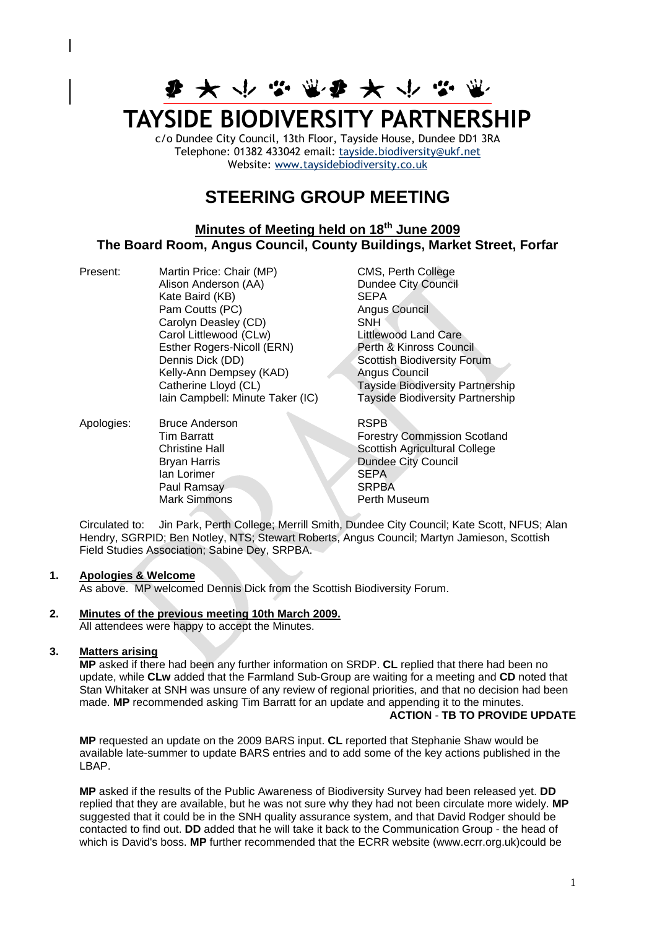# **李 大 小 ぶ 賞 事 大 小**

## **TAYSIDE BIODIVERSITY PARTNERSHIP**

c/o Dundee City Council, 13th Floor, Tayside House, Dundee DD1 3RA Telephone: 01382 433042 email: [tayside.biodiversity@ukf.net](mailto:tayside.biodiversity@ukf.net)  Website: [www.taysidebiodiversity.co.uk](http://www.taysidebiodiversity.co.uk/)

### **STEERING GROUP MEETING**

#### **Minutes of Meeting held on 18th June 2009 The Board Room, Angus Council, County Buildings, Market Street, Forfar**

Present: Martin Price: Chair (MP) CMS, Perth College Alison Anderson (AA) Dundee City Council Kate Baird (KB) SEPA Pam Coutts (PC) and Angus Council Carolyn Deasley (CD) SNH Carol Littlewood (CLw)<br>
Esther Rogers-Nicoll (ERN) Perth & Kinross Council Esther Rogers-Nicoll (ERN) Kelly-Ann Dempsey (KAD)

Dennis Dick (DD)<br>
Kelly-Ann Dempsey (KAD)<br>
Angus Council Catherine Lloyd (CL) Tayside Biodiversity Partnership Iain Campbell: Minute Taker (IC) Tayside Biodiversity Partnership Apologies: Bruce Anderson RSPB **Dundee City Council** 

Tim Barratt Forestry Commission Scotland Christine Hall Scottish Agricultural College<br>Bryan Harris Dundee City Council Ian Lorimer SEPA<br>
Paul Ramsay SRPBA Paul Ramsay SRPBA<br>Mark Simmons Perth Museum Mark Simmons

Circulated to: Jin Park, Perth College; Merrill Smith, Dundee City Council; Kate Scott, NFUS; Alan Hendry, SGRPID; Ben Notley, NTS; Stewart Roberts, Angus Council; Martyn Jamieson, Scottish Field Studies Association; Sabine Dey, SRPBA.

#### **1. Apologies & Welcome**

As above. MP welcomed Dennis Dick from the Scottish Biodiversity Forum.

#### **2. Minutes of the previous meeting 10th March 2009.**

All attendees were happy to accept the Minutes.

#### **3. Matters arising**

**MP** asked if there had been any further information on SRDP. **CL** replied that there had been no update, while **CLw** added that the Farmland Sub-Group are waiting for a meeting and **CD** noted that Stan Whitaker at SNH was unsure of any review of regional priorities, and that no decision had been made. **MP** recommended asking Tim Barratt for an update and appending it to the minutes. **ACTION** - **TB TO PROVIDE UPDATE**

**MP** requested an update on the 2009 BARS input. **CL** reported that Stephanie Shaw would be available late-summer to update BARS entries and to add some of the key actions published in the LBAP.

**MP** asked if the results of the Public Awareness of Biodiversity Survey had been released yet. **DD** replied that they are available, but he was not sure why they had not been circulate more widely. **MP**  suggested that it could be in the SNH quality assurance system, and that David Rodger should be contacted to find out. **DD** added that he will take it back to the Communication Group - the head of which is David's boss. **MP** further recommended that the ECRR website (www.ecrr.org.uk)could be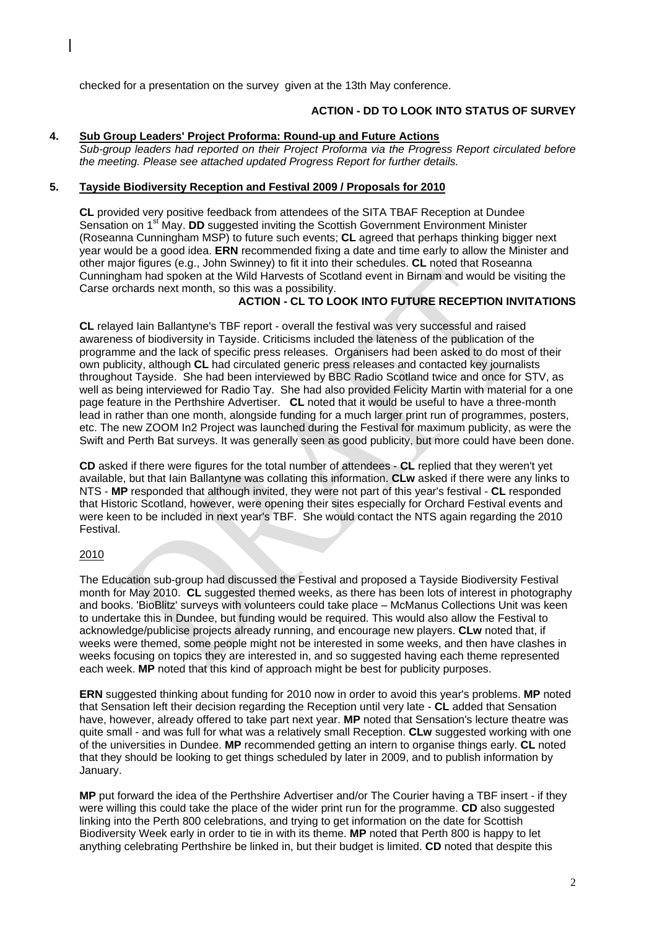checked for a presentation on the survey given at the 13th May conference.

#### **ACTION - DD TO LOOK INTO STATUS OF SURVEY**

#### **4. Sub Group Leaders' Project Proforma: Round-up and Future Actions**

*Sub-group leaders had reported on their Project Proforma via the Progress Report circulated before the meeting. Please see attached updated Progress Report for further details.*

#### **5. Tayside Biodiversity Reception and Festival 2009 / Proposals for 2010**

**CL** provided very positive feedback from attendees of the SITA TBAF Reception at Dundee Sensation on 1<sup>st</sup> May. **DD** suggested inviting the Scottish Government Environment Minister (Roseanna Cunningham MSP) to future such events; **CL** agreed that perhaps thinking bigger next year would be a good idea. **ERN** recommended fixing a date and time early to allow the Minister and other major figures (e.g., John Swinney) to fit it into their schedules. **CL** noted that Roseanna Cunningham had spoken at the Wild Harvests of Scotland event in Birnam and would be visiting the Carse orchards next month, so this was a possibility.

#### **ACTION - CL TO LOOK INTO FUTURE RECEPTION INVITATIONS**

**CL** relayed Iain Ballantyne's TBF report - overall the festival was very successful and raised awareness of biodiversity in Tayside. Criticisms included the lateness of the publication of the programme and the lack of specific press releases. Organisers had been asked to do most of their own publicity, although **CL** had circulated generic press releases and contacted key journalists throughout Tayside. She had been interviewed by BBC Radio Scotland twice and once for STV, as well as being interviewed for Radio Tay. She had also provided Felicity Martin with material for a one page feature in the Perthshire Advertiser. **CL** noted that it would be useful to have a three-month lead in rather than one month, alongside funding for a much larger print run of programmes, posters, etc. The new ZOOM In2 Project was launched during the Festival for maximum publicity, as were the Swift and Perth Bat surveys. It was generally seen as good publicity, but more could have been done.

**CD** asked if there were figures for the total number of attendees - **CL** replied that they weren't yet available, but that Iain Ballantyne was collating this information. **CLw** asked if there were any links to NTS - **MP** responded that although invited, they were not part of this year's festival - **CL** responded that Historic Scotland, however, were opening their sites especially for Orchard Festival events and were keen to be included in next year's TBF. She would contact the NTS again regarding the 2010 Festival.

#### 2010

The Education sub-group had discussed the Festival and proposed a Tayside Biodiversity Festival month for May 2010. **CL** suggested themed weeks, as there has been lots of interest in photography and books. 'BioBlitz' surveys with volunteers could take place – McManus Collections Unit was keen to undertake this in Dundee, but funding would be required. This would also allow the Festival to acknowledge/publicise projects already running, and encourage new players. **CLw** noted that, if weeks were themed, some people might not be interested in some weeks, and then have clashes in weeks focusing on topics they are interested in, and so suggested having each theme represented each week. **MP** noted that this kind of approach might be best for publicity purposes.

**ERN** suggested thinking about funding for 2010 now in order to avoid this year's problems. **MP** noted that Sensation left their decision regarding the Reception until very late - **CL** added that Sensation have, however, already offered to take part next year. **MP** noted that Sensation's lecture theatre was quite small - and was full for what was a relatively small Reception. **CLw** suggested working with one of the universities in Dundee. **MP** recommended getting an intern to organise things early. **CL** noted that they should be looking to get things scheduled by later in 2009, and to publish information by January.

**MP** put forward the idea of the Perthshire Advertiser and/or The Courier having a TBF insert - if they were willing this could take the place of the wider print run for the programme. **CD** also suggested linking into the Perth 800 celebrations, and trying to get information on the date for Scottish Biodiversity Week early in order to tie in with its theme. **MP** noted that Perth 800 is happy to let anything celebrating Perthshire be linked in, but their budget is limited. **CD** noted that despite this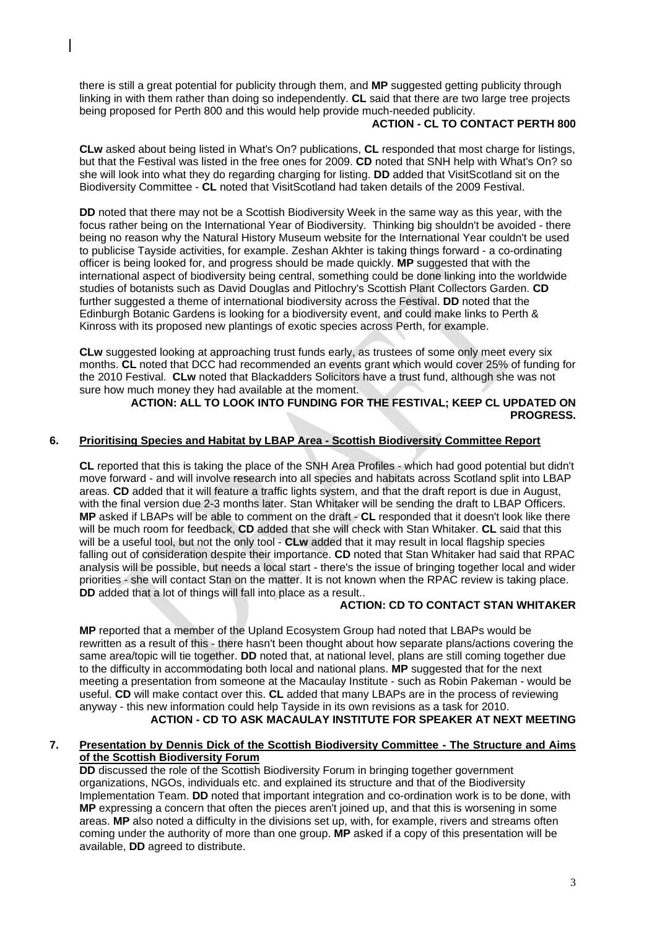there is still a great potential for publicity through them, and **MP** suggested getting publicity through linking in with them rather than doing so independently. **CL** said that there are two large tree projects being proposed for Perth 800 and this would help provide much-needed publicity.

#### **ACTION - CL TO CONTACT PERTH 800**

**CLw** asked about being listed in What's On? publications, **CL** responded that most charge for listings, but that the Festival was listed in the free ones for 2009. **CD** noted that SNH help with What's On? so she will look into what they do regarding charging for listing. **DD** added that VisitScotland sit on the Biodiversity Committee - **CL** noted that VisitScotland had taken details of the 2009 Festival.

**DD** noted that there may not be a Scottish Biodiversity Week in the same way as this year, with the focus rather being on the International Year of Biodiversity. Thinking big shouldn't be avoided - there being no reason why the Natural History Museum website for the International Year couldn't be used to publicise Tayside activities, for example. Zeshan Akhter is taking things forward - a co-ordinating officer is being looked for, and progress should be made quickly. **MP** suggested that with the international aspect of biodiversity being central, something could be done linking into the worldwide studies of botanists such as David Douglas and Pitlochry's Scottish Plant Collectors Garden. **CD** further suggested a theme of international biodiversity across the Festival. **DD** noted that the Edinburgh Botanic Gardens is looking for a biodiversity event, and could make links to Perth & Kinross with its proposed new plantings of exotic species across Perth, for example.

**CLw** suggested looking at approaching trust funds early, as trustees of some only meet every six months. **CL** noted that DCC had recommended an events grant which would cover 25% of funding for the 2010 Festival. **CLw** noted that Blackadders Solicitors have a trust fund, although she was not sure how much money they had available at the moment.

#### **ACTION: ALL TO LOOK INTO FUNDING FOR THE FESTIVAL; KEEP CL UPDATED ON PROGRESS.**

#### **6. Prioritising Species and Habitat by LBAP Area - Scottish Biodiversity Committee Report**

**CL** reported that this is taking the place of the SNH Area Profiles - which had good potential but didn't move forward - and will involve research into all species and habitats across Scotland split into LBAP areas. **CD** added that it will feature a traffic lights system, and that the draft report is due in August, with the final version due 2-3 months later. Stan Whitaker will be sending the draft to LBAP Officers. **MP** asked if LBAPs will be able to comment on the draft - **CL** responded that it doesn't look like there will be much room for feedback, **CD** added that she will check with Stan Whitaker. **CL** said that this will be a useful tool, but not the only tool - **CLw** added that it may result in local flagship species falling out of consideration despite their importance. **CD** noted that Stan Whitaker had said that RPAC analysis will be possible, but needs a local start - there's the issue of bringing together local and wider priorities - she will contact Stan on the matter. It is not known when the RPAC review is taking place. **DD** added that a lot of things will fall into place as a result..

#### **ACTION: CD TO CONTACT STAN WHITAKER**

**MP** reported that a member of the Upland Ecosystem Group had noted that LBAPs would be rewritten as a result of this - there hasn't been thought about how separate plans/actions covering the same area/topic will tie together. **DD** noted that, at national level, plans are still coming together due to the difficulty in accommodating both local and national plans. **MP** suggested that for the next meeting a presentation from someone at the Macaulay Institute - such as Robin Pakeman - would be useful. **CD** will make contact over this. **CL** added that many LBAPs are in the process of reviewing anyway - this new information could help Tayside in its own revisions as a task for 2010. **ACTION - CD TO ASK MACAULAY INSTITUTE FOR SPEAKER AT NEXT MEETING**

#### **7. Presentation by Dennis Dick of the Scottish Biodiversity Committee - The Structure and Aims of the Scottish Biodiversity Forum**

**DD** discussed the role of the Scottish Biodiversity Forum in bringing together government organizations, NGOs, individuals etc. and explained its structure and that of the Biodiversity Implementation Team. **DD** noted that important integration and co-ordination work is to be done, with **MP** expressing a concern that often the pieces aren't joined up, and that this is worsening in some areas. **MP** also noted a difficulty in the divisions set up, with, for example, rivers and streams often coming under the authority of more than one group. **MP** asked if a copy of this presentation will be available, **DD** agreed to distribute.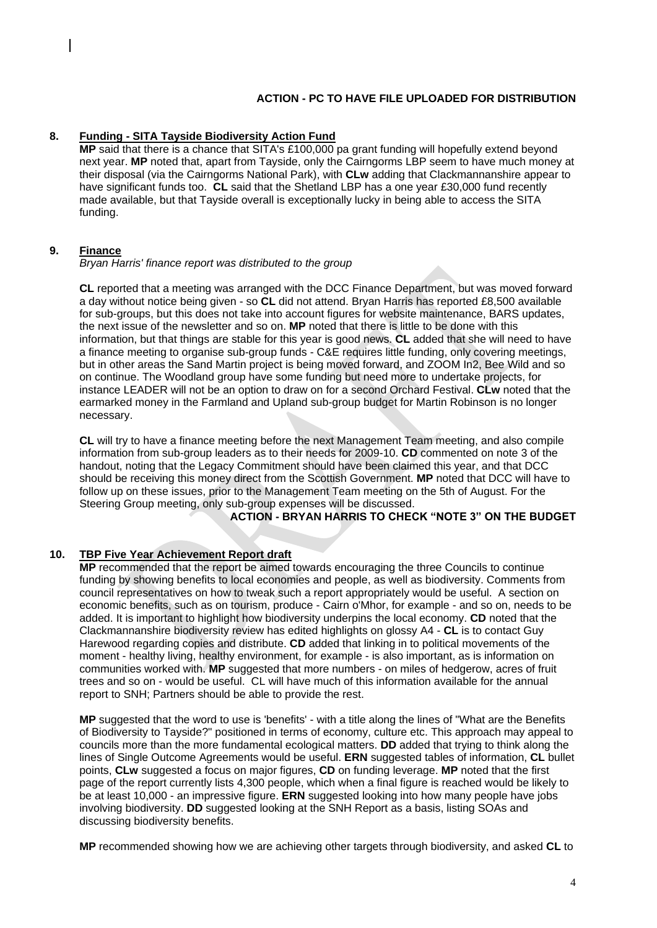**ACTION - PC TO HAVE FILE UPLOADED FOR DISTRIBUTION**

#### **8. Funding - SITA Tayside Biodiversity Action Fund**

**MP** said that there is a chance that SITA's £100,000 pa grant funding will hopefully extend beyond next year. **MP** noted that, apart from Tayside, only the Cairngorms LBP seem to have much money at their disposal (via the Cairngorms National Park), with **CLw** adding that Clackmannanshire appear to have significant funds too. **CL** said that the Shetland LBP has a one year £30,000 fund recently made available, but that Tayside overall is exceptionally lucky in being able to access the SITA funding.

#### **9. Finance**

*Bryan Harris' finance report was distributed to the group*

**CL** reported that a meeting was arranged with the DCC Finance Department, but was moved forward a day without notice being given - so **CL** did not attend. Bryan Harris has reported £8,500 available for sub-groups, but this does not take into account figures for website maintenance, BARS updates, the next issue of the newsletter and so on. **MP** noted that there is little to be done with this information, but that things are stable for this year is good news. **CL** added that she will need to have a finance meeting to organise sub-group funds - C&E requires little funding, only covering meetings, but in other areas the Sand Martin project is being moved forward, and ZOOM In2, Bee Wild and so on continue. The Woodland group have some funding but need more to undertake projects, for instance LEADER will not be an option to draw on for a second Orchard Festival. **CLw** noted that the earmarked money in the Farmland and Upland sub-group budget for Martin Robinson is no longer necessary.

**CL** will try to have a finance meeting before the next Management Team meeting, and also compile information from sub-group leaders as to their needs for 2009-10. **CD** commented on note 3 of the handout, noting that the Legacy Commitment should have been claimed this year, and that DCC should be receiving this money direct from the Scottish Government. **MP** noted that DCC will have to follow up on these issues, prior to the Management Team meeting on the 5th of August. For the Steering Group meeting, only sub-group expenses will be discussed.

**ACTION - BRYAN HARRIS TO CHECK "NOTE 3" ON THE BUDGET**

#### **10. TBP Five Year Achievement Report draft**

**MP** recommended that the report be aimed towards encouraging the three Councils to continue funding by showing benefits to local economies and people, as well as biodiversity. Comments from council representatives on how to tweak such a report appropriately would be useful. A section on economic benefits, such as on tourism, produce - Cairn o'Mhor, for example - and so on, needs to be added. It is important to highlight how biodiversity underpins the local economy. **CD** noted that the Clackmannanshire biodiversity review has edited highlights on glossy A4 - **CL** is to contact Guy Harewood regarding copies and distribute. **CD** added that linking in to political movements of the moment - healthy living, healthy environment, for example - is also important, as is information on communities worked with. **MP** suggested that more numbers - on miles of hedgerow, acres of fruit trees and so on - would be useful. CL will have much of this information available for the annual report to SNH; Partners should be able to provide the rest.

**MP** suggested that the word to use is 'benefits' - with a title along the lines of "What are the Benefits of Biodiversity to Tayside?" positioned in terms of economy, culture etc. This approach may appeal to councils more than the more fundamental ecological matters. **DD** added that trying to think along the lines of Single Outcome Agreements would be useful. **ERN** suggested tables of information, **CL** bullet points, **CLw** suggested a focus on major figures, **CD** on funding leverage. **MP** noted that the first page of the report currently lists 4,300 people, which when a final figure is reached would be likely to be at least 10,000 - an impressive figure. **ERN** suggested looking into how many people have jobs involving biodiversity. **DD** suggested looking at the SNH Report as a basis, listing SOAs and discussing biodiversity benefits.

**MP** recommended showing how we are achieving other targets through biodiversity, and asked **CL** to